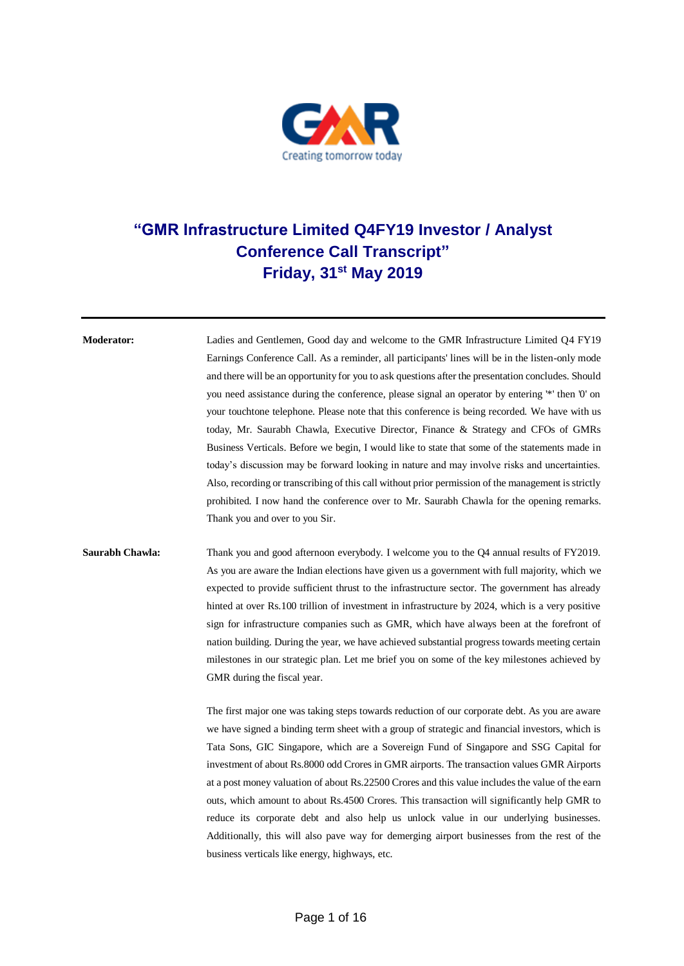

## **"GMR Infrastructure Limited Q4FY19 Investor / Analyst Conference Call Transcript" Friday, 31st May 2019**

**Moderator:** Ladies and Gentlemen, Good day and welcome to the GMR Infrastructure Limited Q4 FY19 Earnings Conference Call. As a reminder, all participants' lines will be in the listen-only mode and there will be an opportunity for you to ask questions after the presentation concludes. Should you need assistance during the conference, please signal an operator by entering '\*' then '0' on your touchtone telephone. Please note that this conference is being recorded. We have with us today, Mr. Saurabh Chawla, Executive Director, Finance & Strategy and CFOs of GMRs Business Verticals. Before we begin, I would like to state that some of the statements made in today's discussion may be forward looking in nature and may involve risks and uncertainties. Also, recording or transcribing of this call without prior permission of the management is strictly prohibited. I now hand the conference over to Mr. Saurabh Chawla for the opening remarks. Thank you and over to you Sir.

## **Saurabh Chawla:** Thank you and good afternoon everybody. I welcome you to the Q4 annual results of FY2019. As you are aware the Indian elections have given us a government with full majority, which we expected to provide sufficient thrust to the infrastructure sector. The government has already hinted at over Rs.100 trillion of investment in infrastructure by 2024, which is a very positive sign for infrastructure companies such as GMR, which have always been at the forefront of nation building. During the year, we have achieved substantial progress towards meeting certain milestones in our strategic plan. Let me brief you on some of the key milestones achieved by GMR during the fiscal year.

The first major one was taking steps towards reduction of our corporate debt. As you are aware we have signed a binding term sheet with a group of strategic and financial investors, which is Tata Sons, GIC Singapore, which are a Sovereign Fund of Singapore and SSG Capital for investment of about Rs.8000 odd Crores in GMR airports. The transaction values GMR Airports at a post money valuation of about Rs.22500 Crores and this value includes the value of the earn outs, which amount to about Rs.4500 Crores. This transaction will significantly help GMR to reduce its corporate debt and also help us unlock value in our underlying businesses. Additionally, this will also pave way for demerging airport businesses from the rest of the business verticals like energy, highways, etc.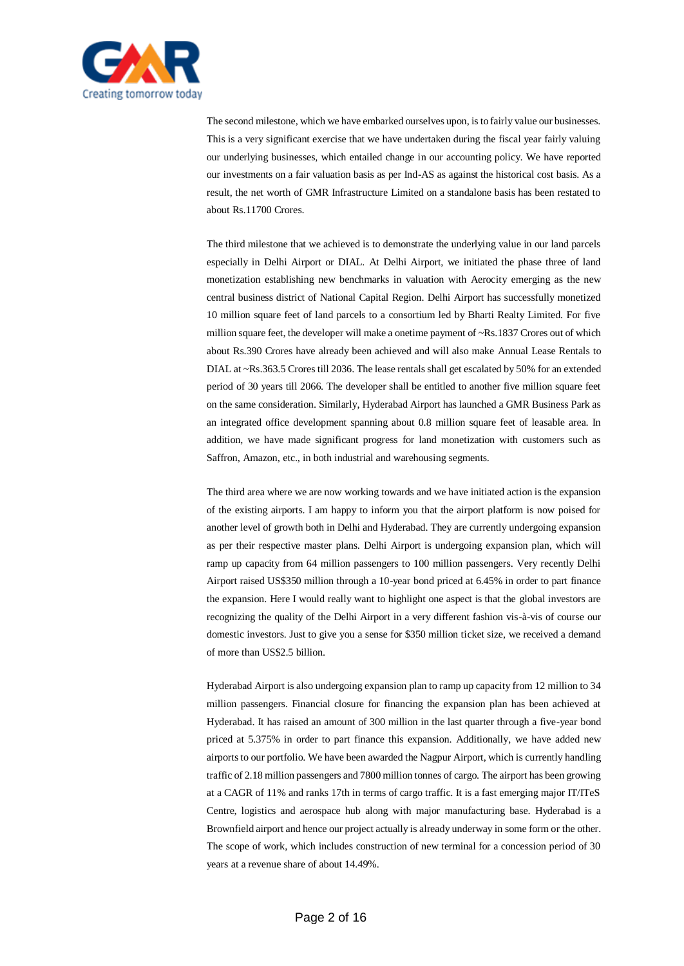

The second milestone, which we have embarked ourselves upon, is to fairly value our businesses. This is a very significant exercise that we have undertaken during the fiscal year fairly valuing our underlying businesses, which entailed change in our accounting policy. We have reported our investments on a fair valuation basis as per Ind-AS as against the historical cost basis. As a result, the net worth of GMR Infrastructure Limited on a standalone basis has been restated to about Rs.11700 Crores.

The third milestone that we achieved is to demonstrate the underlying value in our land parcels especially in Delhi Airport or DIAL. At Delhi Airport, we initiated the phase three of land monetization establishing new benchmarks in valuation with Aerocity emerging as the new central business district of National Capital Region. Delhi Airport has successfully monetized 10 million square feet of land parcels to a consortium led by Bharti Realty Limited. For five million square feet, the developer will make a onetime payment of ~Rs.1837 Crores out of which about Rs.390 Crores have already been achieved and will also make Annual Lease Rentals to DIAL at ~Rs.363.5 Crores till 2036. The lease rentals shall get escalated by 50% for an extended period of 30 years till 2066. The developer shall be entitled to another five million square feet on the same consideration. Similarly, Hyderabad Airport has launched a GMR Business Park as an integrated office development spanning about 0.8 million square feet of leasable area. In addition, we have made significant progress for land monetization with customers such as Saffron, Amazon, etc., in both industrial and warehousing segments.

The third area where we are now working towards and we have initiated action is the expansion of the existing airports. I am happy to inform you that the airport platform is now poised for another level of growth both in Delhi and Hyderabad. They are currently undergoing expansion as per their respective master plans. Delhi Airport is undergoing expansion plan, which will ramp up capacity from 64 million passengers to 100 million passengers. Very recently Delhi Airport raised US\$350 million through a 10-year bond priced at 6.45% in order to part finance the expansion. Here I would really want to highlight one aspect is that the global investors are recognizing the quality of the Delhi Airport in a very different fashion vis-à-vis of course our domestic investors. Just to give you a sense for \$350 million ticket size, we received a demand of more than US\$2.5 billion.

Hyderabad Airport is also undergoing expansion plan to ramp up capacity from 12 million to 34 million passengers. Financial closure for financing the expansion plan has been achieved at Hyderabad. It has raised an amount of 300 million in the last quarter through a five-year bond priced at 5.375% in order to part finance this expansion. Additionally, we have added new airports to our portfolio. We have been awarded the Nagpur Airport, which is currently handling traffic of 2.18 million passengers and 7800 million tonnes of cargo. The airport has been growing at a CAGR of 11% and ranks 17th in terms of cargo traffic. It is a fast emerging major IT/ITeS Centre, logistics and aerospace hub along with major manufacturing base. Hyderabad is a Brownfield airport and hence our project actually is already underway in some form or the other. The scope of work, which includes construction of new terminal for a concession period of 30 years at a revenue share of about 14.49%.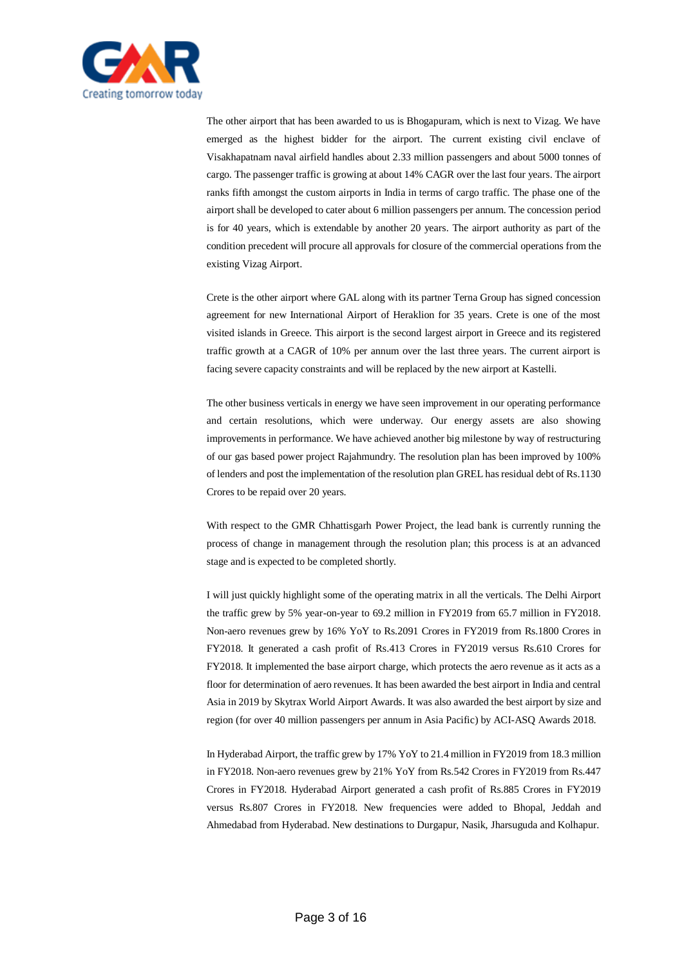

The other airport that has been awarded to us is Bhogapuram, which is next to Vizag. We have emerged as the highest bidder for the airport. The current existing civil enclave of Visakhapatnam naval airfield handles about 2.33 million passengers and about 5000 tonnes of cargo. The passenger traffic is growing at about 14% CAGR over the last four years. The airport ranks fifth amongst the custom airports in India in terms of cargo traffic. The phase one of the airport shall be developed to cater about 6 million passengers per annum. The concession period is for 40 years, which is extendable by another 20 years. The airport authority as part of the condition precedent will procure all approvals for closure of the commercial operations from the existing Vizag Airport.

Crete is the other airport where GAL along with its partner Terna Group has signed concession agreement for new International Airport of Heraklion for 35 years. Crete is one of the most visited islands in Greece. This airport is the second largest airport in Greece and its registered traffic growth at a CAGR of 10% per annum over the last three years. The current airport is facing severe capacity constraints and will be replaced by the new airport at Kastelli.

The other business verticals in energy we have seen improvement in our operating performance and certain resolutions, which were underway. Our energy assets are also showing improvements in performance. We have achieved another big milestone by way of restructuring of our gas based power project Rajahmundry. The resolution plan has been improved by 100% of lenders and post the implementation of the resolution plan GREL has residual debt of Rs.1130 Crores to be repaid over 20 years.

With respect to the GMR Chhattisgarh Power Project, the lead bank is currently running the process of change in management through the resolution plan; this process is at an advanced stage and is expected to be completed shortly.

I will just quickly highlight some of the operating matrix in all the verticals. The Delhi Airport the traffic grew by 5% year-on-year to 69.2 million in FY2019 from 65.7 million in FY2018. Non-aero revenues grew by 16% YoY to Rs.2091 Crores in FY2019 from Rs.1800 Crores in FY2018. It generated a cash profit of Rs.413 Crores in FY2019 versus Rs.610 Crores for FY2018. It implemented the base airport charge, which protects the aero revenue as it acts as a floor for determination of aero revenues. It has been awarded the best airport in India and central Asia in 2019 by Skytrax World Airport Awards. It was also awarded the best airport by size and region (for over 40 million passengers per annum in Asia Pacific) by ACI-ASQ Awards 2018.

In Hyderabad Airport, the traffic grew by 17% YoY to 21.4 million in FY2019 from 18.3 million in FY2018. Non-aero revenues grew by 21% YoY from Rs.542 Crores in FY2019 from Rs.447 Crores in FY2018. Hyderabad Airport generated a cash profit of Rs.885 Crores in FY2019 versus Rs.807 Crores in FY2018. New frequencies were added to Bhopal, Jeddah and Ahmedabad from Hyderabad. New destinations to Durgapur, Nasik, Jharsuguda and Kolhapur.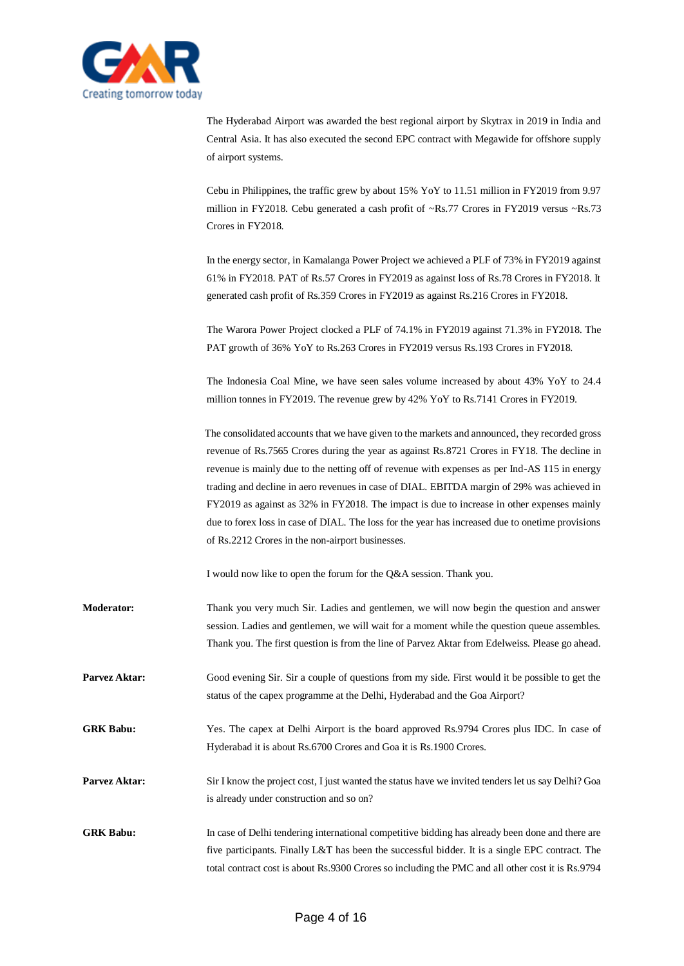

The Hyderabad Airport was awarded the best regional airport by Skytrax in 2019 in India and Central Asia. It has also executed the second EPC contract with Megawide for offshore supply of airport systems.

Cebu in Philippines, the traffic grew by about 15% YoY to 11.51 million in FY2019 from 9.97 million in FY2018. Cebu generated a cash profit of  $\sim$ Rs.77 Crores in FY2019 versus  $\sim$ Rs.73 Crores in FY2018.

In the energy sector, in Kamalanga Power Project we achieved a PLF of 73% in FY2019 against 61% in FY2018. PAT of Rs.57 Crores in FY2019 as against loss of Rs.78 Crores in FY2018. It generated cash profit of Rs.359 Crores in FY2019 as against Rs.216 Crores in FY2018.

The Warora Power Project clocked a PLF of 74.1% in FY2019 against 71.3% in FY2018. The PAT growth of 36% YoY to Rs.263 Crores in FY2019 versus Rs.193 Crores in FY2018.

The Indonesia Coal Mine, we have seen sales volume increased by about 43% YoY to 24.4 million tonnes in FY2019. The revenue grew by 42% YoY to Rs.7141 Crores in FY2019.

The consolidated accounts that we have given to the markets and announced, they recorded gross revenue of Rs.7565 Crores during the year as against Rs.8721 Crores in FY18. The decline in revenue is mainly due to the netting off of revenue with expenses as per Ind-AS 115 in energy trading and decline in aero revenues in case of DIAL. EBITDA margin of 29% was achieved in FY2019 as against as 32% in FY2018. The impact is due to increase in other expenses mainly due to forex loss in case of DIAL. The loss for the year has increased due to onetime provisions of Rs.2212 Crores in the non-airport businesses.

I would now like to open the forum for the Q&A session. Thank you.

- **Moderator:** Thank you very much Sir. Ladies and gentlemen, we will now begin the question and answer session. Ladies and gentlemen, we will wait for a moment while the question queue assembles. Thank you. The first question is from the line of Parvez Aktar from Edelweiss. Please go ahead.
- **Parvez Aktar:** Good evening Sir. Sir a couple of questions from my side. First would it be possible to get the status of the capex programme at the Delhi, Hyderabad and the Goa Airport?
- **GRK Babu:** Yes. The capex at Delhi Airport is the board approved Rs.9794 Crores plus IDC. In case of Hyderabad it is about Rs.6700 Crores and Goa it is Rs.1900 Crores.
- **Parvez Aktar:** Sir I know the project cost, I just wanted the status have we invited tenders let us say Delhi? Goa is already under construction and so on?
- **GRK Babu:** In case of Delhi tendering international competitive bidding has already been done and there are five participants. Finally L&T has been the successful bidder. It is a single EPC contract. The total contract cost is about Rs.9300 Crores so including the PMC and all other cost it is Rs.9794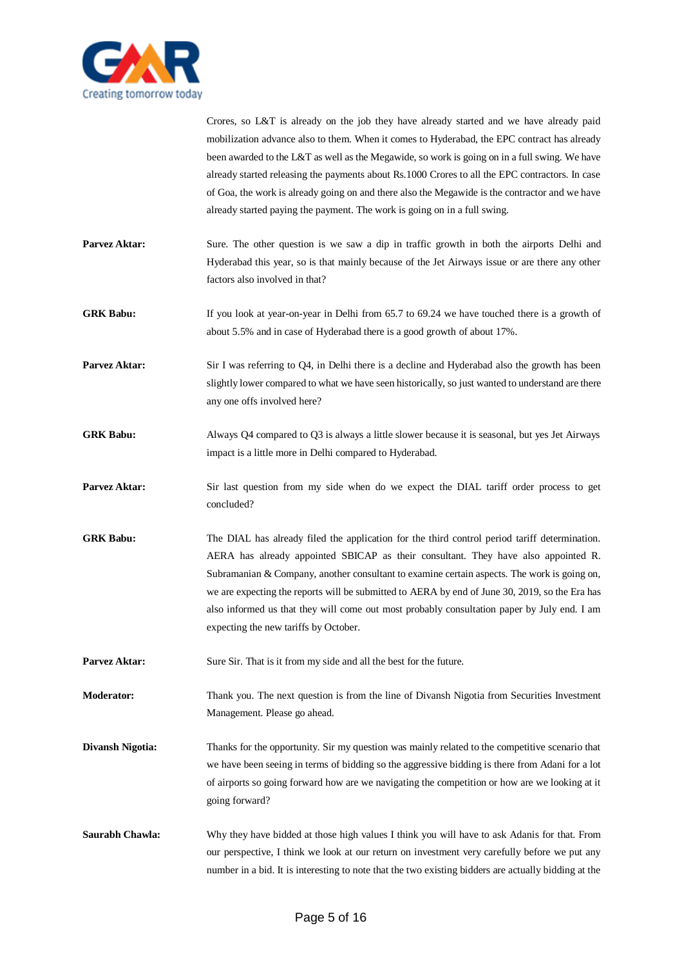

Crores, so L&T is already on the job they have already started and we have already paid mobilization advance also to them. When it comes to Hyderabad, the EPC contract has already been awarded to the L&T as well as the Megawide, so work is going on in a full swing. We have already started releasing the payments about Rs.1000 Crores to all the EPC contractors. In case of Goa, the work is already going on and there also the Megawide is the contractor and we have already started paying the payment. The work is going on in a full swing.

- **Parvez Aktar:** Sure. The other question is we saw a dip in traffic growth in both the airports Delhi and Hyderabad this year, so is that mainly because of the Jet Airways issue or are there any other factors also involved in that?
- GRK Babu: If you look at year-on-year in Delhi from 65.7 to 69.24 we have touched there is a growth of about 5.5% and in case of Hyderabad there is a good growth of about 17%.
- **Parvez Aktar:** Sir I was referring to Q4, in Delhi there is a decline and Hyderabad also the growth has been slightly lower compared to what we have seen historically, so just wanted to understand are there any one offs involved here?
- **GRK Babu:** Always Q4 compared to Q3 is always a little slower because it is seasonal, but yes Jet Airways impact is a little more in Delhi compared to Hyderabad.
- Parvez Aktar: Sir last question from my side when do we expect the DIAL tariff order process to get concluded?
- **GRK Babu:** The DIAL has already filed the application for the third control period tariff determination. AERA has already appointed SBICAP as their consultant. They have also appointed R. Subramanian & Company, another consultant to examine certain aspects. The work is going on, we are expecting the reports will be submitted to AERA by end of June 30, 2019, so the Era has also informed us that they will come out most probably consultation paper by July end. I am expecting the new tariffs by October.
- Parvez Aktar: Sure Sir. That is it from my side and all the best for the future.
- **Moderator:** Thank you. The next question is from the line of Divansh Nigotia from Securities Investment Management. Please go ahead.
- **Divansh Nigotia:** Thanks for the opportunity. Sir my question was mainly related to the competitive scenario that we have been seeing in terms of bidding so the aggressive bidding is there from Adani for a lot of airports so going forward how are we navigating the competition or how are we looking at it going forward?
- **Saurabh Chawla:** Why they have bidded at those high values I think you will have to ask Adanis for that. From our perspective, I think we look at our return on investment very carefully before we put any number in a bid. It is interesting to note that the two existing bidders are actually bidding at the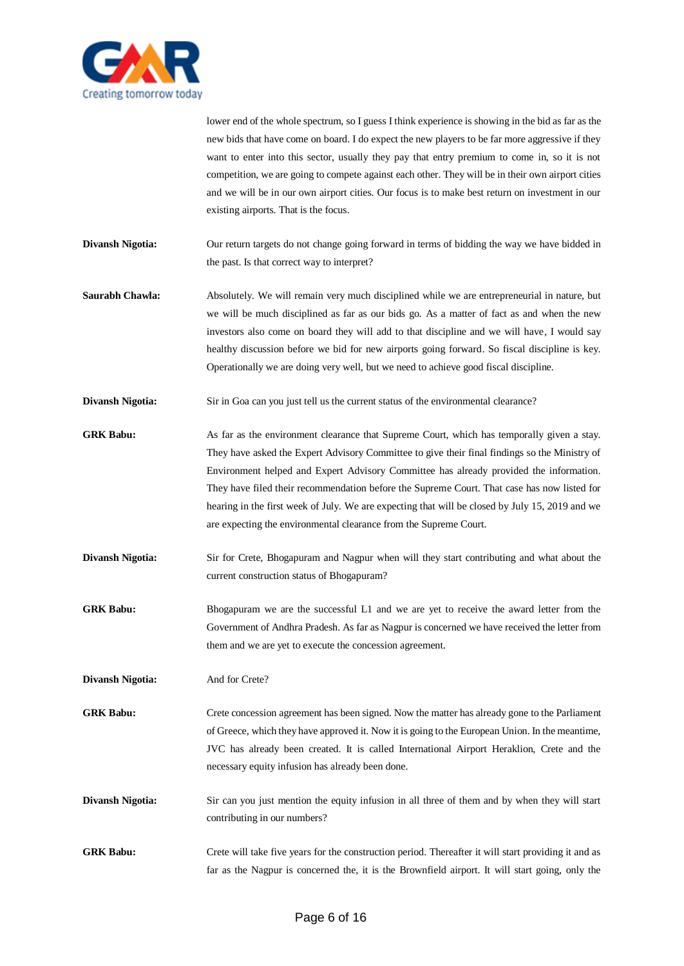

lower end of the whole spectrum, so I guess I think experience is showing in the bid as far as the new bids that have come on board. I do expect the new players to be far more aggressive if they want to enter into this sector, usually they pay that entry premium to come in, so it is not competition, we are going to compete against each other. They will be in their own airport cities and we will be in our own airport cities. Our focus is to make best return on investment in our existing airports. That is the focus.

**Divansh Nigotia:** Our return targets do not change going forward in terms of bidding the way we have bidded in the past. Is that correct way to interpret?

- **Saurabh Chawla:** Absolutely. We will remain very much disciplined while we are entrepreneurial in nature, but we will be much disciplined as far as our bids go. As a matter of fact as and when the new investors also come on board they will add to that discipline and we will have, I would say healthy discussion before we bid for new airports going forward. So fiscal discipline is key. Operationally we are doing very well, but we need to achieve good fiscal discipline.
- **Divansh Nigotia:** Sir in Goa can you just tell us the current status of the environmental clearance?
- **GRK Babu:** As far as the environment clearance that Supreme Court, which has temporally given a stay. They have asked the Expert Advisory Committee to give their final findings so the Ministry of Environment helped and Expert Advisory Committee has already provided the information. They have filed their recommendation before the Supreme Court. That case has now listed for hearing in the first week of July. We are expecting that will be closed by July 15, 2019 and we are expecting the environmental clearance from the Supreme Court.
- **Divansh Nigotia:** Sir for Crete, Bhogapuram and Nagpur when will they start contributing and what about the current construction status of Bhogapuram?
- GRK Babu: Bhogapuram we are the successful L1 and we are yet to receive the award letter from the Government of Andhra Pradesh. As far as Nagpur is concerned we have received the letter from them and we are yet to execute the concession agreement.

**Divansh Nigotia:** And for Crete?

GRK Babu: Crete concession agreement has been signed. Now the matter has already gone to the Parliament of Greece, which they have approved it. Now it is going to the European Union. In the meantime, JVC has already been created. It is called International Airport Heraklion, Crete and the necessary equity infusion has already been done.

- **Divansh Nigotia:** Sir can you just mention the equity infusion in all three of them and by when they will start contributing in our numbers?
- **GRK Babu:** Crete will take five years for the construction period. Thereafter it will start providing it and as far as the Nagpur is concerned the, it is the Brownfield airport. It will start going, only the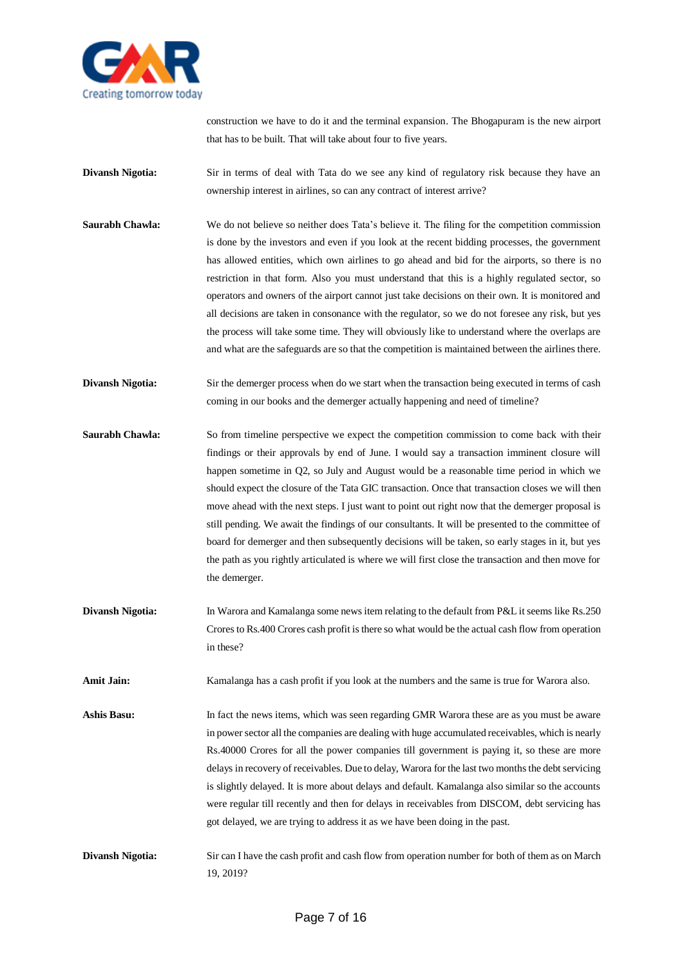

construction we have to do it and the terminal expansion. The Bhogapuram is the new airport that has to be built. That will take about four to five years.

- **Divansh Nigotia:** Sir in terms of deal with Tata do we see any kind of regulatory risk because they have an ownership interest in airlines, so can any contract of interest arrive?
- **Saurabh Chawla:** We do not believe so neither does Tata's believe it. The filing for the competition commission is done by the investors and even if you look at the recent bidding processes, the government has allowed entities, which own airlines to go ahead and bid for the airports, so there is no restriction in that form. Also you must understand that this is a highly regulated sector, so operators and owners of the airport cannot just take decisions on their own. It is monitored and all decisions are taken in consonance with the regulator, so we do not foresee any risk, but yes the process will take some time. They will obviously like to understand where the overlaps are and what are the safeguards are so that the competition is maintained between the airlines there.
- **Divansh Nigotia:** Sir the demerger process when do we start when the transaction being executed in terms of cash coming in our books and the demerger actually happening and need of timeline?
- **Saurabh Chawla:** So from timeline perspective we expect the competition commission to come back with their findings or their approvals by end of June. I would say a transaction imminent closure will happen sometime in Q2, so July and August would be a reasonable time period in which we should expect the closure of the Tata GIC transaction. Once that transaction closes we will then move ahead with the next steps. I just want to point out right now that the demerger proposal is still pending. We await the findings of our consultants. It will be presented to the committee of board for demerger and then subsequently decisions will be taken, so early stages in it, but yes the path as you rightly articulated is where we will first close the transaction and then move for the demerger.
- **Divansh Nigotia:** In Warora and Kamalanga some news item relating to the default from P&L it seems like Rs.250 Crores to Rs.400 Crores cash profit is there so what would be the actual cash flow from operation in these?
- **Amit Jain:** Kamalanga has a cash profit if you look at the numbers and the same is true for Warora also.
- Ashis Basu: In fact the news items, which was seen regarding GMR Warora these are as you must be aware in power sector all the companies are dealing with huge accumulated receivables, which is nearly Rs.40000 Crores for all the power companies till government is paying it, so these are more delays in recovery of receivables. Due to delay, Warora for the last two months the debt servicing is slightly delayed. It is more about delays and default. Kamalanga also similar so the accounts were regular till recently and then for delays in receivables from DISCOM, debt servicing has got delayed, we are trying to address it as we have been doing in the past.
- **Divansh Nigotia:** Sir can I have the cash profit and cash flow from operation number for both of them as on March 19, 2019?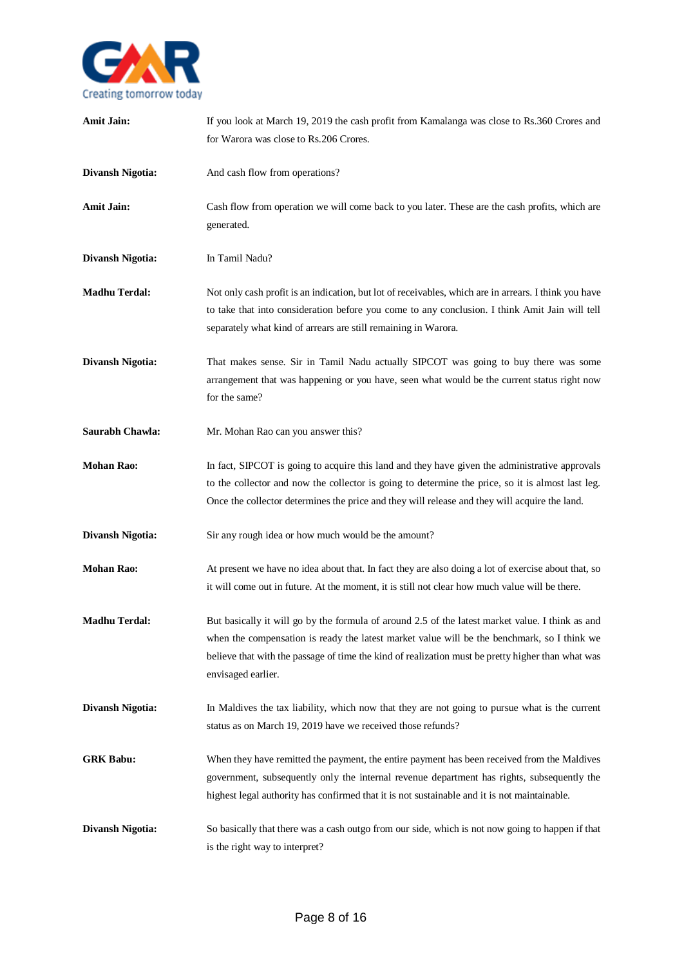

| <b>Amit Jain:</b>       | If you look at March 19, 2019 the cash profit from Kamalanga was close to Rs.360 Crores and<br>for Warora was close to Rs.206 Crores.                                                                                                                                                                                      |
|-------------------------|----------------------------------------------------------------------------------------------------------------------------------------------------------------------------------------------------------------------------------------------------------------------------------------------------------------------------|
| <b>Divansh Nigotia:</b> | And cash flow from operations?                                                                                                                                                                                                                                                                                             |
| <b>Amit Jain:</b>       | Cash flow from operation we will come back to you later. These are the cash profits, which are<br>generated.                                                                                                                                                                                                               |
| <b>Divansh Nigotia:</b> | In Tamil Nadu?                                                                                                                                                                                                                                                                                                             |
| <b>Madhu Terdal:</b>    | Not only cash profit is an indication, but lot of receivables, which are in arrears. I think you have<br>to take that into consideration before you come to any conclusion. I think Amit Jain will tell<br>separately what kind of arrears are still remaining in Warora.                                                  |
| <b>Divansh Nigotia:</b> | That makes sense. Sir in Tamil Nadu actually SIPCOT was going to buy there was some<br>arrangement that was happening or you have, seen what would be the current status right now<br>for the same?                                                                                                                        |
| Saurabh Chawla:         | Mr. Mohan Rao can you answer this?                                                                                                                                                                                                                                                                                         |
| <b>Mohan Rao:</b>       | In fact, SIPCOT is going to acquire this land and they have given the administrative approvals<br>to the collector and now the collector is going to determine the price, so it is almost last leg.<br>Once the collector determines the price and they will release and they will acquire the land.                       |
| <b>Divansh Nigotia:</b> | Sir any rough idea or how much would be the amount?                                                                                                                                                                                                                                                                        |
| <b>Mohan Rao:</b>       | At present we have no idea about that. In fact they are also doing a lot of exercise about that, so<br>it will come out in future. At the moment, it is still not clear how much value will be there.                                                                                                                      |
| <b>Madhu Terdal:</b>    | But basically it will go by the formula of around 2.5 of the latest market value. I think as and<br>when the compensation is ready the latest market value will be the benchmark, so I think we<br>believe that with the passage of time the kind of realization must be pretty higher than what was<br>envisaged earlier. |
| <b>Divansh Nigotia:</b> | In Maldives the tax liability, which now that they are not going to pursue what is the current<br>status as on March 19, 2019 have we received those refunds?                                                                                                                                                              |
| <b>GRK Babu:</b>        | When they have remitted the payment, the entire payment has been received from the Maldives<br>government, subsequently only the internal revenue department has rights, subsequently the<br>highest legal authority has confirmed that it is not sustainable and it is not maintainable.                                  |
| <b>Divansh Nigotia:</b> | So basically that there was a cash outgo from our side, which is not now going to happen if that<br>is the right way to interpret?                                                                                                                                                                                         |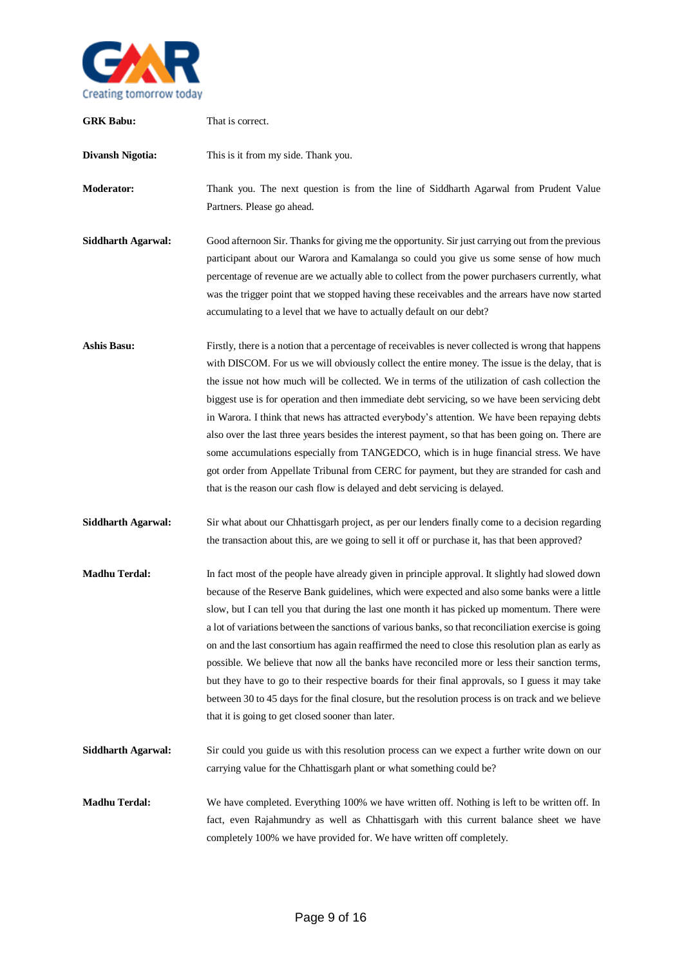

| <b>GRK Babu:</b>          | That is correct.                                                                                                                                                                                                                                                                                                                                                                                                                                                                                                                                                                                                                                                                                                                                                                                                                                                                           |
|---------------------------|--------------------------------------------------------------------------------------------------------------------------------------------------------------------------------------------------------------------------------------------------------------------------------------------------------------------------------------------------------------------------------------------------------------------------------------------------------------------------------------------------------------------------------------------------------------------------------------------------------------------------------------------------------------------------------------------------------------------------------------------------------------------------------------------------------------------------------------------------------------------------------------------|
| <b>Divansh Nigotia:</b>   | This is it from my side. Thank you.                                                                                                                                                                                                                                                                                                                                                                                                                                                                                                                                                                                                                                                                                                                                                                                                                                                        |
| <b>Moderator:</b>         | Thank you. The next question is from the line of Siddharth Agarwal from Prudent Value<br>Partners. Please go ahead.                                                                                                                                                                                                                                                                                                                                                                                                                                                                                                                                                                                                                                                                                                                                                                        |
| <b>Siddharth Agarwal:</b> | Good afternoon Sir. Thanks for giving me the opportunity. Sir just carrying out from the previous<br>participant about our Warora and Kamalanga so could you give us some sense of how much<br>percentage of revenue are we actually able to collect from the power purchasers currently, what<br>was the trigger point that we stopped having these receivables and the arrears have now started<br>accumulating to a level that we have to actually default on our debt?                                                                                                                                                                                                                                                                                                                                                                                                                 |
| <b>Ashis Basu:</b>        | Firstly, there is a notion that a percentage of receivables is never collected is wrong that happens<br>with DISCOM. For us we will obviously collect the entire money. The issue is the delay, that is<br>the issue not how much will be collected. We in terms of the utilization of cash collection the<br>biggest use is for operation and then immediate debt servicing, so we have been servicing debt<br>in Warora. I think that news has attracted everybody's attention. We have been repaying debts<br>also over the last three years besides the interest payment, so that has been going on. There are<br>some accumulations especially from TANGEDCO, which is in huge financial stress. We have<br>got order from Appellate Tribunal from CERC for payment, but they are stranded for cash and<br>that is the reason our cash flow is delayed and debt servicing is delayed. |
| <b>Siddharth Agarwal:</b> | Sir what about our Chhattisgarh project, as per our lenders finally come to a decision regarding<br>the transaction about this, are we going to sell it off or purchase it, has that been approved?                                                                                                                                                                                                                                                                                                                                                                                                                                                                                                                                                                                                                                                                                        |
| <b>Madhu Terdal:</b>      | In fact most of the people have already given in principle approval. It slightly had slowed down<br>because of the Reserve Bank guidelines, which were expected and also some banks were a little<br>slow, but I can tell you that during the last one month it has picked up momentum. There were<br>a lot of variations between the sanctions of various banks, so that reconciliation exercise is going<br>on and the last consortium has again reaffirmed the need to close this resolution plan as early as<br>possible. We believe that now all the banks have reconciled more or less their sanction terms,<br>but they have to go to their respective boards for their final approvals, so I guess it may take<br>between 30 to 45 days for the final closure, but the resolution process is on track and we believe<br>that it is going to get closed sooner than later.          |
| <b>Siddharth Agarwal:</b> | Sir could you guide us with this resolution process can we expect a further write down on our<br>carrying value for the Chhattisgarh plant or what something could be?                                                                                                                                                                                                                                                                                                                                                                                                                                                                                                                                                                                                                                                                                                                     |
| <b>Madhu Terdal:</b>      | We have completed. Everything 100% we have written off. Nothing is left to be written off. In<br>fact, even Rajahmundry as well as Chhattisgarh with this current balance sheet we have<br>completely 100% we have provided for. We have written off completely.                                                                                                                                                                                                                                                                                                                                                                                                                                                                                                                                                                                                                           |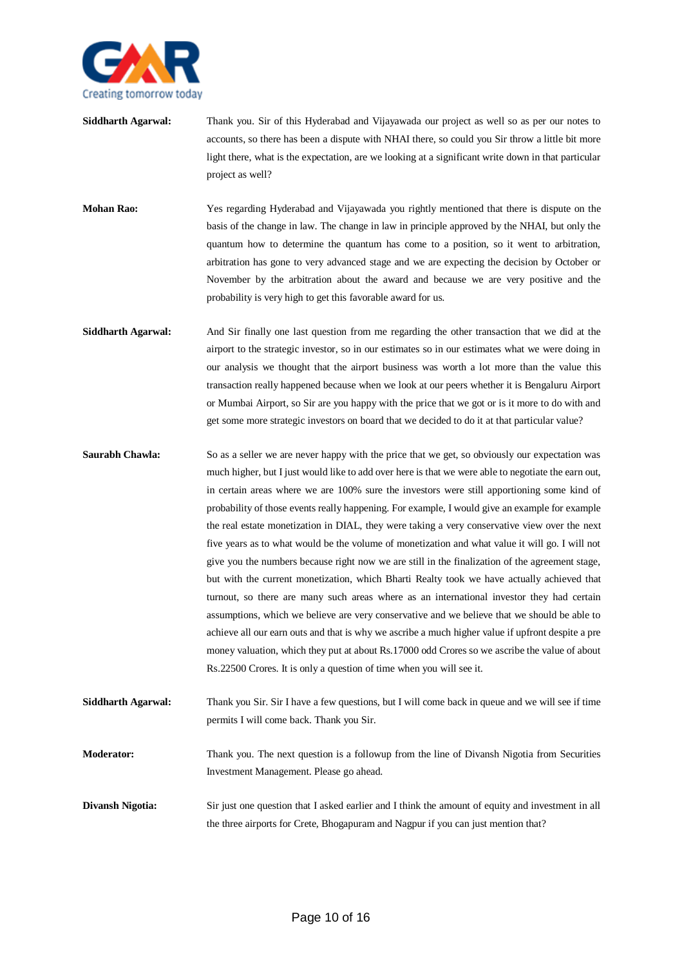

- **Siddharth Agarwal:** Thank you. Sir of this Hyderabad and Vijayawada our project as well so as per our notes to accounts, so there has been a dispute with NHAI there, so could you Sir throw a little bit more light there, what is the expectation, are we looking at a significant write down in that particular project as well?
- **Mohan Rao:** Yes regarding Hyderabad and Vijayawada you rightly mentioned that there is dispute on the basis of the change in law. The change in law in principle approved by the NHAI, but only the quantum how to determine the quantum has come to a position, so it went to arbitration, arbitration has gone to very advanced stage and we are expecting the decision by October or November by the arbitration about the award and because we are very positive and the probability is very high to get this favorable award for us.
- **Siddharth Agarwal:** And Sir finally one last question from me regarding the other transaction that we did at the airport to the strategic investor, so in our estimates so in our estimates what we were doing in our analysis we thought that the airport business was worth a lot more than the value this transaction really happened because when we look at our peers whether it is Bengaluru Airport or Mumbai Airport, so Sir are you happy with the price that we got or is it more to do with and get some more strategic investors on board that we decided to do it at that particular value?
- **Saurabh Chawla:** So as a seller we are never happy with the price that we get, so obviously our expectation was much higher, but I just would like to add over here is that we were able to negotiate the earn out, in certain areas where we are 100% sure the investors were still apportioning some kind of probability of those events really happening. For example, I would give an example for example the real estate monetization in DIAL, they were taking a very conservative view over the next five years as to what would be the volume of monetization and what value it will go. I will not give you the numbers because right now we are still in the finalization of the agreement stage, but with the current monetization, which Bharti Realty took we have actually achieved that turnout, so there are many such areas where as an international investor they had certain assumptions, which we believe are very conservative and we believe that we should be able to achieve all our earn outs and that is why we ascribe a much higher value if upfront despite a pre money valuation, which they put at about Rs.17000 odd Crores so we ascribe the value of about Rs.22500 Crores. It is only a question of time when you will see it.
- **Siddharth Agarwal:** Thank you Sir. Sir I have a few questions, but I will come back in queue and we will see if time permits I will come back. Thank you Sir.
- **Moderator:** Thank you. The next question is a followup from the line of Divansh Nigotia from Securities Investment Management. Please go ahead.
- **Divansh Nigotia:** Sir just one question that I asked earlier and I think the amount of equity and investment in all the three airports for Crete, Bhogapuram and Nagpur if you can just mention that?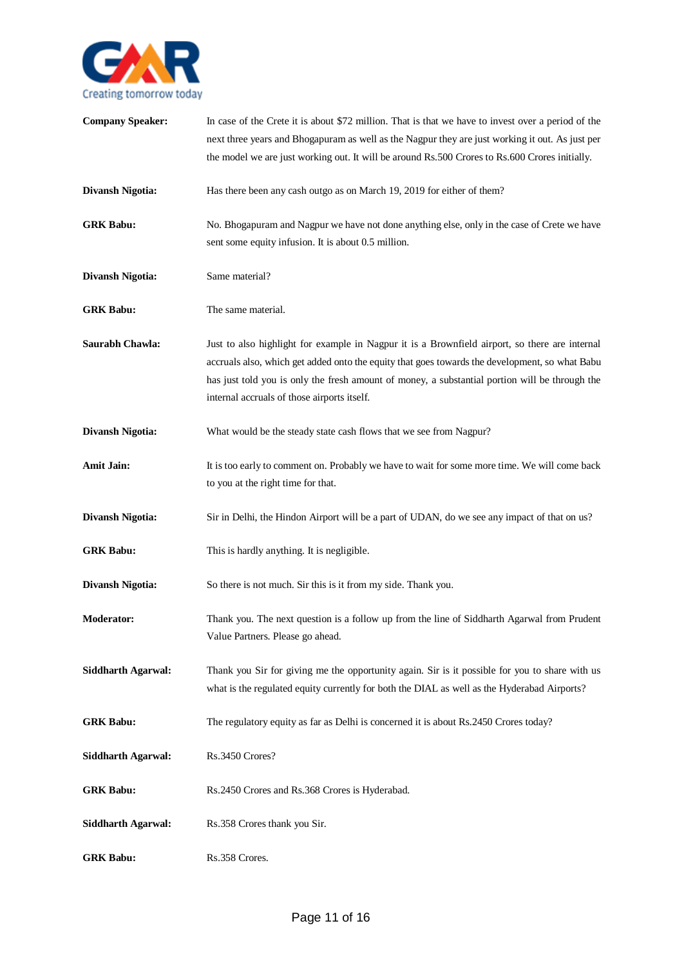

| <b>Company Speaker:</b>   | In case of the Crete it is about \$72 million. That is that we have to invest over a period of the<br>next three years and Bhogapuram as well as the Nagpur they are just working it out. As just per<br>the model we are just working out. It will be around Rs.500 Crores to Rs.600 Crores initially.                                           |
|---------------------------|---------------------------------------------------------------------------------------------------------------------------------------------------------------------------------------------------------------------------------------------------------------------------------------------------------------------------------------------------|
| <b>Divansh Nigotia:</b>   | Has there been any cash outgo as on March 19, 2019 for either of them?                                                                                                                                                                                                                                                                            |
| <b>GRK Babu:</b>          | No. Bhogapuram and Nagpur we have not done anything else, only in the case of Crete we have<br>sent some equity infusion. It is about 0.5 million.                                                                                                                                                                                                |
| <b>Divansh Nigotia:</b>   | Same material?                                                                                                                                                                                                                                                                                                                                    |
| <b>GRK Babu:</b>          | The same material.                                                                                                                                                                                                                                                                                                                                |
| Saurabh Chawla:           | Just to also highlight for example in Nagpur it is a Brownfield airport, so there are internal<br>accruals also, which get added onto the equity that goes towards the development, so what Babu<br>has just told you is only the fresh amount of money, a substantial portion will be through the<br>internal accruals of those airports itself. |
| <b>Divansh Nigotia:</b>   | What would be the steady state cash flows that we see from Nagpur?                                                                                                                                                                                                                                                                                |
| <b>Amit Jain:</b>         | It is too early to comment on. Probably we have to wait for some more time. We will come back<br>to you at the right time for that.                                                                                                                                                                                                               |
| <b>Divansh Nigotia:</b>   | Sir in Delhi, the Hindon Airport will be a part of UDAN, do we see any impact of that on us?                                                                                                                                                                                                                                                      |
| <b>GRK Babu:</b>          | This is hardly anything. It is negligible.                                                                                                                                                                                                                                                                                                        |
| <b>Divansh Nigotia:</b>   | So there is not much. Sir this is it from my side. Thank you.                                                                                                                                                                                                                                                                                     |
| <b>Moderator:</b>         | Thank you. The next question is a follow up from the line of Siddharth Agarwal from Prudent<br>Value Partners. Please go ahead.                                                                                                                                                                                                                   |
| <b>Siddharth Agarwal:</b> | Thank you Sir for giving me the opportunity again. Sir is it possible for you to share with us<br>what is the regulated equity currently for both the DIAL as well as the Hyderabad Airports?                                                                                                                                                     |
| <b>GRK Babu:</b>          | The regulatory equity as far as Delhi is concerned it is about Rs.2450 Crores today?                                                                                                                                                                                                                                                              |
| <b>Siddharth Agarwal:</b> | Rs.3450 Crores?                                                                                                                                                                                                                                                                                                                                   |
| <b>GRK Babu:</b>          | Rs.2450 Crores and Rs.368 Crores is Hyderabad.                                                                                                                                                                                                                                                                                                    |
| <b>Siddharth Agarwal:</b> | Rs.358 Crores thank you Sir.                                                                                                                                                                                                                                                                                                                      |
| <b>GRK Babu:</b>          | Rs.358 Crores.                                                                                                                                                                                                                                                                                                                                    |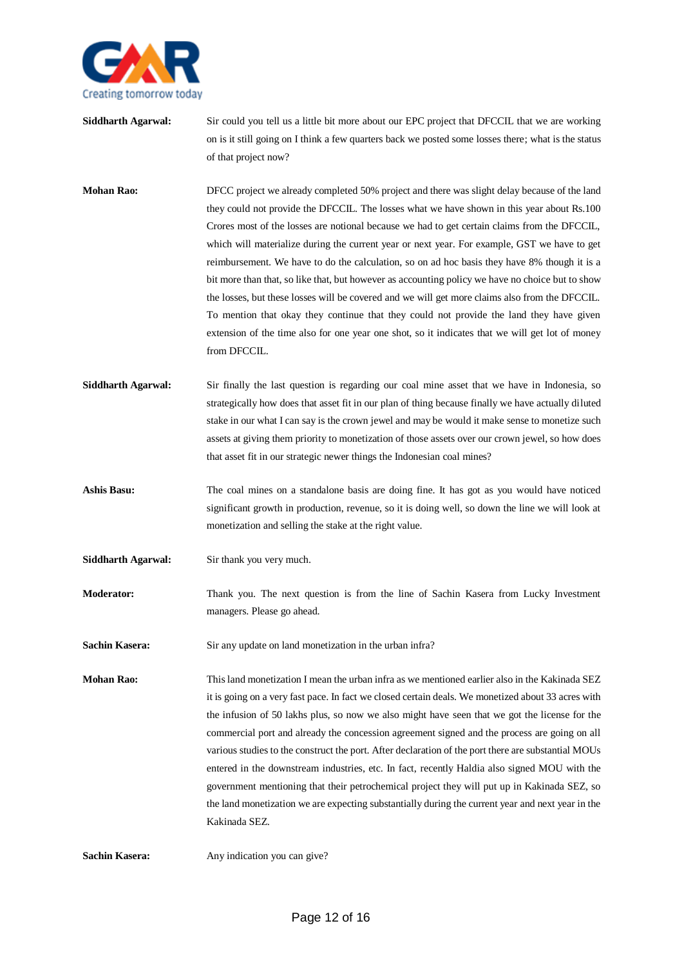

- **Siddharth Agarwal:** Sir could you tell us a little bit more about our EPC project that DFCCIL that we are working on is it still going on I think a few quarters back we posted some losses there; what is the status of that project now?
- **Mohan Rao:** DFCC project we already completed 50% project and there was slight delay because of the land they could not provide the DFCCIL. The losses what we have shown in this year about Rs.100 Crores most of the losses are notional because we had to get certain claims from the DFCCIL, which will materialize during the current year or next year. For example, GST we have to get reimbursement. We have to do the calculation, so on ad hoc basis they have 8% though it is a bit more than that, so like that, but however as accounting policy we have no choice but to show the losses, but these losses will be covered and we will get more claims also from the DFCCIL. To mention that okay they continue that they could not provide the land they have given extension of the time also for one year one shot, so it indicates that we will get lot of money from DFCCIL.
- **Siddharth Agarwal:** Sir finally the last question is regarding our coal mine asset that we have in Indonesia, so strategically how does that asset fit in our plan of thing because finally we have actually diluted stake in our what I can say is the crown jewel and may be would it make sense to monetize such assets at giving them priority to monetization of those assets over our crown jewel, so how does that asset fit in our strategic newer things the Indonesian coal mines?
- **Ashis Basu:** The coal mines on a standalone basis are doing fine. It has got as you would have noticed significant growth in production, revenue, so it is doing well, so down the line we will look at monetization and selling the stake at the right value.
- **Siddharth Agarwal:** Sir thank you very much.
- **Moderator:** Thank you. The next question is from the line of Sachin Kasera from Lucky Investment managers. Please go ahead.
- **Sachin Kasera:** Sir any update on land monetization in the urban infra?

**Mohan Rao:** This land monetization I mean the urban infra as we mentioned earlier also in the Kakinada SEZ it is going on a very fast pace. In fact we closed certain deals. We monetized about 33 acres with the infusion of 50 lakhs plus, so now we also might have seen that we got the license for the commercial port and already the concession agreement signed and the process are going on all various studies to the construct the port. After declaration of the port there are substantial MOUs entered in the downstream industries, etc. In fact, recently Haldia also signed MOU with the government mentioning that their petrochemical project they will put up in Kakinada SEZ, so the land monetization we are expecting substantially during the current year and next year in the Kakinada SEZ.

**Sachin Kasera:** Any indication you can give?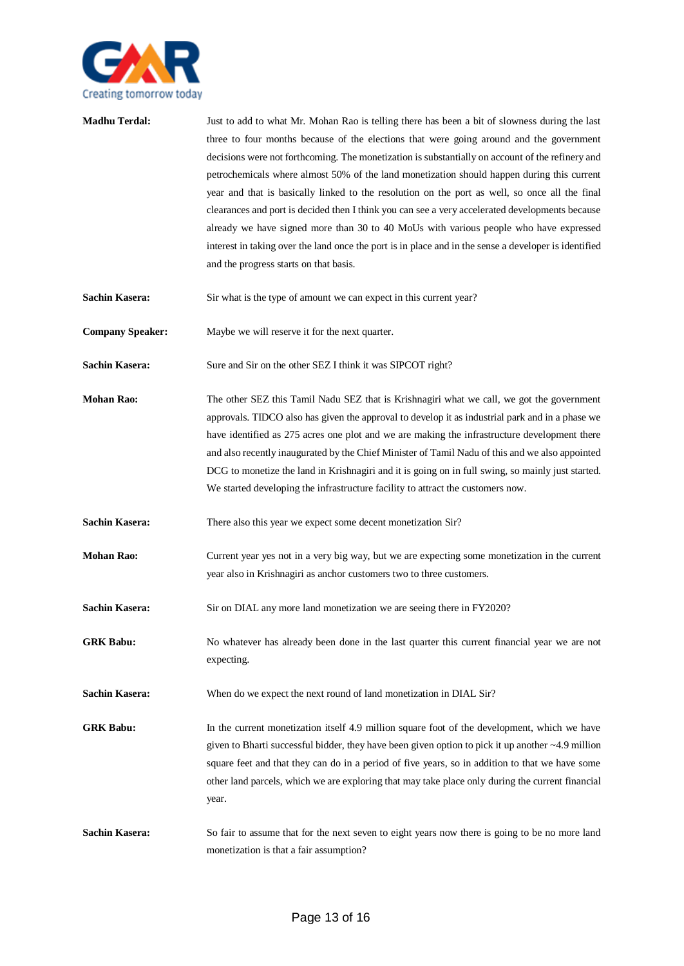

| <b>Madhu Terdal:</b>    | Just to add to what Mr. Mohan Rao is telling there has been a bit of slowness during the last<br>three to four months because of the elections that were going around and the government<br>decisions were not forthcoming. The monetization is substantially on account of the refinery and<br>petrochemicals where almost 50% of the land monetization should happen during this current<br>year and that is basically linked to the resolution on the port as well, so once all the final<br>clearances and port is decided then I think you can see a very accelerated developments because<br>already we have signed more than 30 to 40 MoUs with various people who have expressed<br>interest in taking over the land once the port is in place and in the sense a developer is identified<br>and the progress starts on that basis. |
|-------------------------|---------------------------------------------------------------------------------------------------------------------------------------------------------------------------------------------------------------------------------------------------------------------------------------------------------------------------------------------------------------------------------------------------------------------------------------------------------------------------------------------------------------------------------------------------------------------------------------------------------------------------------------------------------------------------------------------------------------------------------------------------------------------------------------------------------------------------------------------|
| <b>Sachin Kasera:</b>   | Sir what is the type of amount we can expect in this current year?                                                                                                                                                                                                                                                                                                                                                                                                                                                                                                                                                                                                                                                                                                                                                                          |
| <b>Company Speaker:</b> | Maybe we will reserve it for the next quarter.                                                                                                                                                                                                                                                                                                                                                                                                                                                                                                                                                                                                                                                                                                                                                                                              |
| <b>Sachin Kasera:</b>   | Sure and Sir on the other SEZ I think it was SIPCOT right?                                                                                                                                                                                                                                                                                                                                                                                                                                                                                                                                                                                                                                                                                                                                                                                  |
| <b>Mohan Rao:</b>       | The other SEZ this Tamil Nadu SEZ that is Krishnagiri what we call, we got the government<br>approvals. TIDCO also has given the approval to develop it as industrial park and in a phase we<br>have identified as 275 acres one plot and we are making the infrastructure development there<br>and also recently inaugurated by the Chief Minister of Tamil Nadu of this and we also appointed<br>DCG to monetize the land in Krishnagiri and it is going on in full swing, so mainly just started.<br>We started developing the infrastructure facility to attract the customers now.                                                                                                                                                                                                                                                     |
| <b>Sachin Kasera:</b>   | There also this year we expect some decent monetization Sir?                                                                                                                                                                                                                                                                                                                                                                                                                                                                                                                                                                                                                                                                                                                                                                                |
| <b>Mohan Rao:</b>       | Current year yes not in a very big way, but we are expecting some monetization in the current<br>year also in Krishnagiri as anchor customers two to three customers.                                                                                                                                                                                                                                                                                                                                                                                                                                                                                                                                                                                                                                                                       |
| <b>Sachin Kasera:</b>   | Sir on DIAL any more land monetization we are seeing there in FY2020?                                                                                                                                                                                                                                                                                                                                                                                                                                                                                                                                                                                                                                                                                                                                                                       |
| <b>GRK Babu:</b>        | No whatever has already been done in the last quarter this current financial year we are not<br>expecting.                                                                                                                                                                                                                                                                                                                                                                                                                                                                                                                                                                                                                                                                                                                                  |
| <b>Sachin Kasera:</b>   | When do we expect the next round of land monetization in DIAL Sir?                                                                                                                                                                                                                                                                                                                                                                                                                                                                                                                                                                                                                                                                                                                                                                          |
| <b>GRK Babu:</b>        | In the current monetization itself 4.9 million square foot of the development, which we have<br>given to Bharti successful bidder, they have been given option to pick it up another $\sim$ 4.9 million<br>square feet and that they can do in a period of five years, so in addition to that we have some<br>other land parcels, which we are exploring that may take place only during the current financial<br>year.                                                                                                                                                                                                                                                                                                                                                                                                                     |
| <b>Sachin Kasera:</b>   | So fair to assume that for the next seven to eight years now there is going to be no more land<br>monetization is that a fair assumption?                                                                                                                                                                                                                                                                                                                                                                                                                                                                                                                                                                                                                                                                                                   |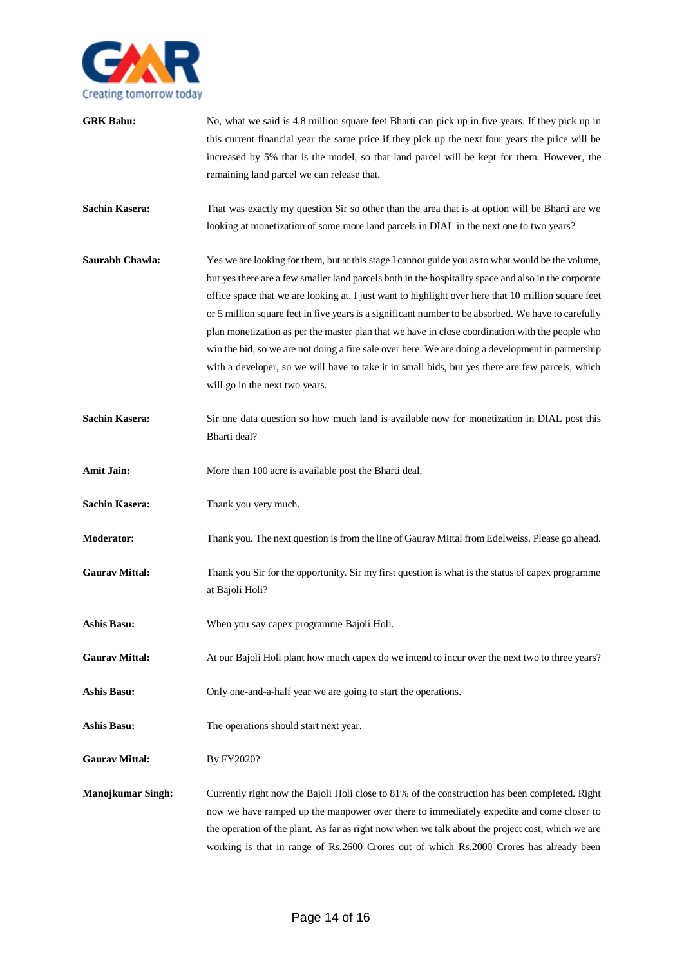

| <b>GRK Babu:</b>         | No, what we said is 4.8 million square feet Bharti can pick up in five years. If they pick up in<br>this current financial year the same price if they pick up the next four years the price will be<br>increased by 5% that is the model, so that land parcel will be kept for them. However, the<br>remaining land parcel we can release that.                                                                                                                                                                                                                                                                                                                                                                                                                      |
|--------------------------|-----------------------------------------------------------------------------------------------------------------------------------------------------------------------------------------------------------------------------------------------------------------------------------------------------------------------------------------------------------------------------------------------------------------------------------------------------------------------------------------------------------------------------------------------------------------------------------------------------------------------------------------------------------------------------------------------------------------------------------------------------------------------|
| <b>Sachin Kasera:</b>    | That was exactly my question Sir so other than the area that is at option will be Bharti are we<br>looking at monetization of some more land parcels in DIAL in the next one to two years?                                                                                                                                                                                                                                                                                                                                                                                                                                                                                                                                                                            |
| Saurabh Chawla:          | Yes we are looking for them, but at this stage I cannot guide you as to what would be the volume,<br>but yes there are a few smaller land parcels both in the hospitality space and also in the corporate<br>office space that we are looking at. I just want to highlight over here that 10 million square feet<br>or 5 million square feet in five years is a significant number to be absorbed. We have to carefully<br>plan monetization as per the master plan that we have in close coordination with the people who<br>win the bid, so we are not doing a fire sale over here. We are doing a development in partnership<br>with a developer, so we will have to take it in small bids, but yes there are few parcels, which<br>will go in the next two years. |
| <b>Sachin Kasera:</b>    | Sir one data question so how much land is available now for monetization in DIAL post this<br>Bharti deal?                                                                                                                                                                                                                                                                                                                                                                                                                                                                                                                                                                                                                                                            |
| <b>Amit Jain:</b>        | More than 100 acre is available post the Bharti deal.                                                                                                                                                                                                                                                                                                                                                                                                                                                                                                                                                                                                                                                                                                                 |
| <b>Sachin Kasera:</b>    | Thank you very much.                                                                                                                                                                                                                                                                                                                                                                                                                                                                                                                                                                                                                                                                                                                                                  |
| <b>Moderator:</b>        | Thank you. The next question is from the line of Gaurav Mittal from Edelweiss. Please go ahead.                                                                                                                                                                                                                                                                                                                                                                                                                                                                                                                                                                                                                                                                       |
| <b>Gaurav Mittal:</b>    | Thank you Sir for the opportunity. Sir my first question is what is the status of capex programme<br>at Bajoli Holi?                                                                                                                                                                                                                                                                                                                                                                                                                                                                                                                                                                                                                                                  |
| Ashis Basu:              | When you say capex programme Bajoli Holi.                                                                                                                                                                                                                                                                                                                                                                                                                                                                                                                                                                                                                                                                                                                             |
| <b>Gaurav Mittal:</b>    | At our Bajoli Holi plant how much capex do we intend to incur over the next two to three years?                                                                                                                                                                                                                                                                                                                                                                                                                                                                                                                                                                                                                                                                       |
| <b>Ashis Basu:</b>       | Only one-and-a-half year we are going to start the operations.                                                                                                                                                                                                                                                                                                                                                                                                                                                                                                                                                                                                                                                                                                        |
| <b>Ashis Basu:</b>       | The operations should start next year.                                                                                                                                                                                                                                                                                                                                                                                                                                                                                                                                                                                                                                                                                                                                |
| <b>Gaurav Mittal:</b>    | By FY2020?                                                                                                                                                                                                                                                                                                                                                                                                                                                                                                                                                                                                                                                                                                                                                            |
| <b>Manojkumar Singh:</b> | Currently right now the Bajoli Holi close to 81% of the construction has been completed. Right<br>now we have ramped up the manpower over there to immediately expedite and come closer to<br>the operation of the plant. As far as right now when we talk about the project cost, which we are<br>working is that in range of Rs.2600 Crores out of which Rs.2000 Crores has already been                                                                                                                                                                                                                                                                                                                                                                            |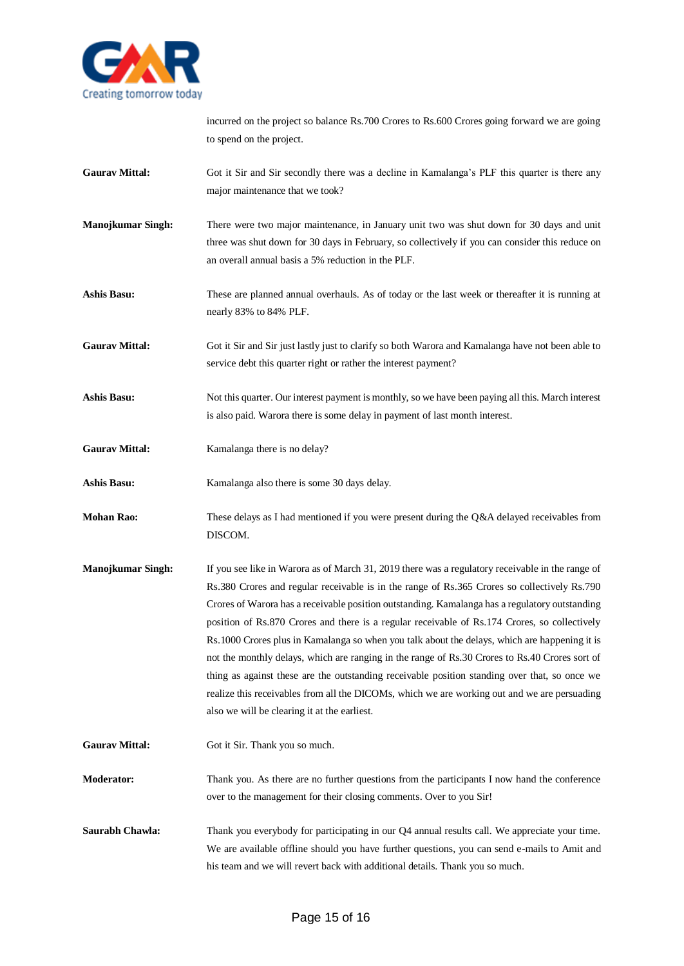

incurred on the project so balance Rs.700 Crores to Rs.600 Crores going forward we are going to spend on the project.

- Gaurav Mittal: Got it Sir and Sir secondly there was a decline in Kamalanga's PLF this quarter is there any major maintenance that we took?
- **Manojkumar Singh:** There were two major maintenance, in January unit two was shut down for 30 days and unit three was shut down for 30 days in February, so collectively if you can consider this reduce on an overall annual basis a 5% reduction in the PLF.
- **Ashis Basu:** These are planned annual overhauls. As of today or the last week or thereafter it is running at nearly 83% to 84% PLF.

**Gaurav Mittal:** Got it Sir and Sir just lastly just to clarify so both Warora and Kamalanga have not been able to service debt this quarter right or rather the interest payment?

- **Ashis Basu:** Not this quarter. Our interest payment is monthly, so we have been paying all this. March interest is also paid. Warora there is some delay in payment of last month interest.
- Gaurav Mittal: Kamalanga there is no delay?
- Ashis Basu: Kamalanga also there is some 30 days delay.
- **Mohan Rao:** These delays as I had mentioned if you were present during the Q&A delayed receivables from DISCOM.
- **Manojkumar Singh:** If you see like in Warora as of March 31, 2019 there was a regulatory receivable in the range of Rs.380 Crores and regular receivable is in the range of Rs.365 Crores so collectively Rs.790 Crores of Warora has a receivable position outstanding. Kamalanga has a regulatory outstanding position of Rs.870 Crores and there is a regular receivable of Rs.174 Crores, so collectively Rs.1000 Crores plus in Kamalanga so when you talk about the delays, which are happening it is not the monthly delays, which are ranging in the range of Rs.30 Crores to Rs.40 Crores sort of thing as against these are the outstanding receivable position standing over that, so once we realize this receivables from all the DICOMs, which we are working out and we are persuading also we will be clearing it at the earliest.
- Gaurav Mittal: Got it Sir. Thank you so much.
- **Moderator:** Thank you. As there are no further questions from the participants I now hand the conference over to the management for their closing comments. Over to you Sir!
- **Saurabh Chawla:** Thank you everybody for participating in our Q4 annual results call. We appreciate your time. We are available offline should you have further questions, you can send e-mails to Amit and his team and we will revert back with additional details. Thank you so much.